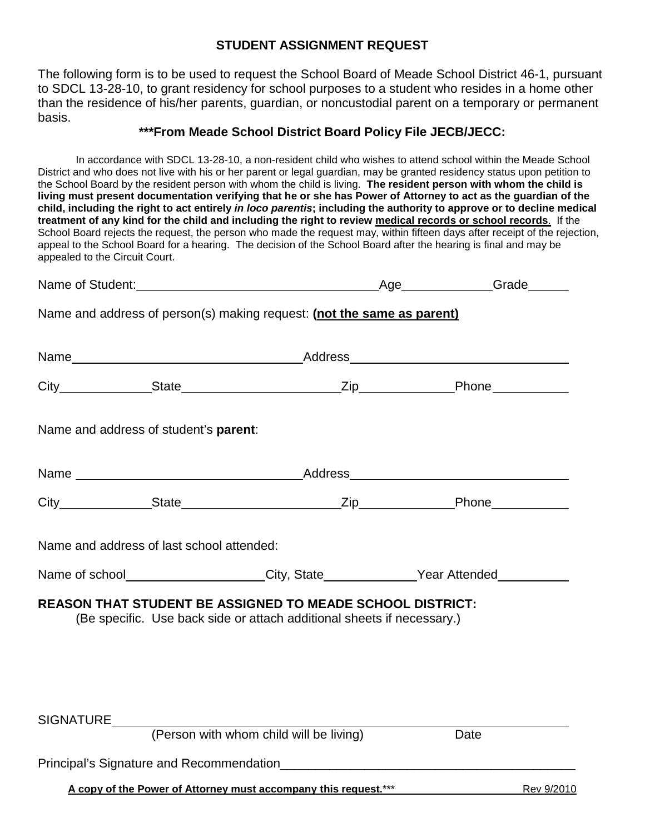## **STUDENT ASSIGNMENT REQUEST**

The following form is to be used to request the School Board of Meade School District 46-1, pursuant to SDCL 13-28-10, to grant residency for school purposes to a student who resides in a home other than the residence of his/her parents, guardian, or noncustodial parent on a temporary or permanent basis.

## **\*\*\*From Meade School District Board Policy File JECB/JECC:**

In accordance with SDCL 13-28-10, a non-resident child who wishes to attend school within the Meade School District and who does not live with his or her parent or legal guardian, may be granted residency status upon petition to the School Board by the resident person with whom the child is living. **The resident person with whom the child is living must present documentation verifying that he or she has Power of Attorney to act as the guardian of the child, including the right to act entirely** *in loco parentis***; including the authority to approve or to decline medical treatment of any kind for the child and including the right to review medical records or school records**. If the School Board rejects the request, the person who made the request may, within fifteen days after receipt of the rejection, appeal to the School Board for a hearing. The decision of the School Board after the hearing is final and may be appealed to the Circuit Court.

|                                                                 | Name of Student: Name of Student:                                                                                                          | Age Grade |            |
|-----------------------------------------------------------------|--------------------------------------------------------------------------------------------------------------------------------------------|-----------|------------|
|                                                                 | Name and address of person(s) making request: (not the same as parent)                                                                     |           |            |
|                                                                 |                                                                                                                                            |           |            |
|                                                                 |                                                                                                                                            |           |            |
| Name and address of student's parent:                           |                                                                                                                                            |           |            |
|                                                                 |                                                                                                                                            |           |            |
|                                                                 |                                                                                                                                            |           |            |
| Name and address of last school attended:                       |                                                                                                                                            |           |            |
|                                                                 | Name of school______________________City, State______________Year Attended___________                                                      |           |            |
|                                                                 | <b>REASON THAT STUDENT BE ASSIGNED TO MEADE SCHOOL DISTRICT:</b><br>(Be specific. Use back side or attach additional sheets if necessary.) |           |            |
| SIGNATURE                                                       | (Person with whom child will be living)                                                                                                    | Date      |            |
|                                                                 |                                                                                                                                            |           |            |
| A copy of the Power of Attorney must accompany this request.*** |                                                                                                                                            |           | Rev 9/2010 |